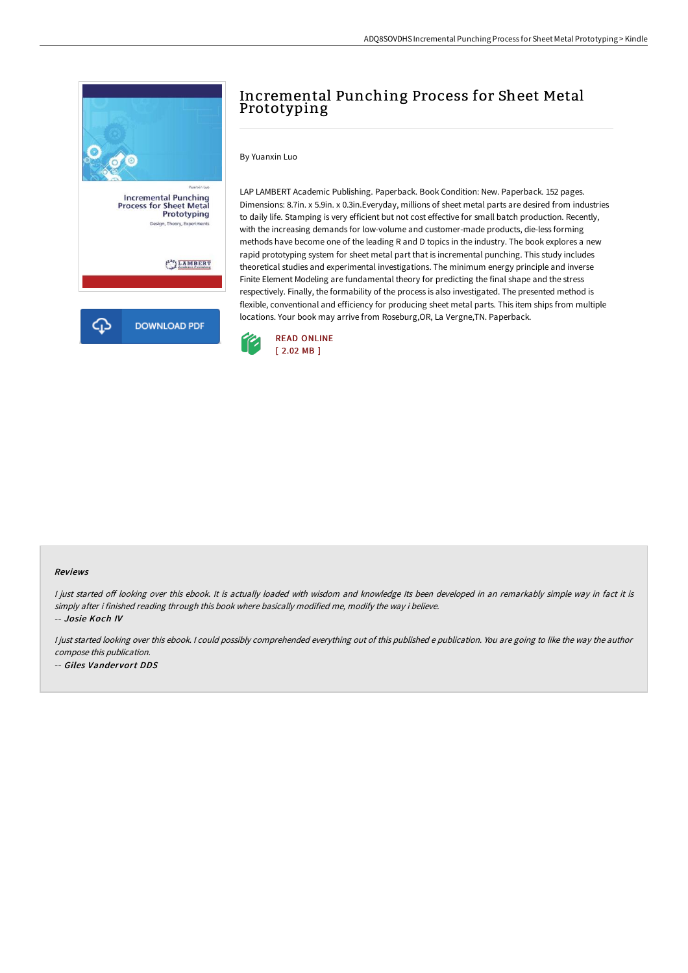

## Incremental Punching Process for Sheet Metal Prototyping

By Yuanxin Luo

LAP LAMBERT Academic Publishing. Paperback. Book Condition: New. Paperback. 152 pages. Dimensions: 8.7in. x 5.9in. x 0.3in.Everyday, millions of sheet metal parts are desired from industries to daily life. Stamping is very efficient but not cost effective for small batch production. Recently, with the increasing demands for low-volume and customer-made products, die-less forming methods have become one of the leading R and D topics in the industry. The book explores a new rapid prototyping system for sheet metal part that is incremental punching. This study includes theoretical studies and experimental investigations. The minimum energy principle and inverse Finite Element Modeling are fundamental theory for predicting the final shape and the stress respectively. Finally, the formability of the process is also investigated. The presented method is flexible, conventional and efficiency for producing sheet metal parts. This item ships from multiple locations. Your book may arrive from Roseburg,OR, La Vergne,TN. Paperback.



## Reviews

I just started off looking over this ebook. It is actually loaded with wisdom and knowledge Its been developed in an remarkably simple way in fact it is simply after i finished reading through this book where basically modified me, modify the way i believe. -- Josie Koch IV

I just started looking over this ebook. I could possibly comprehended everything out of this published e publication. You are going to like the way the author compose this publication. -- Giles Vandervort DDS